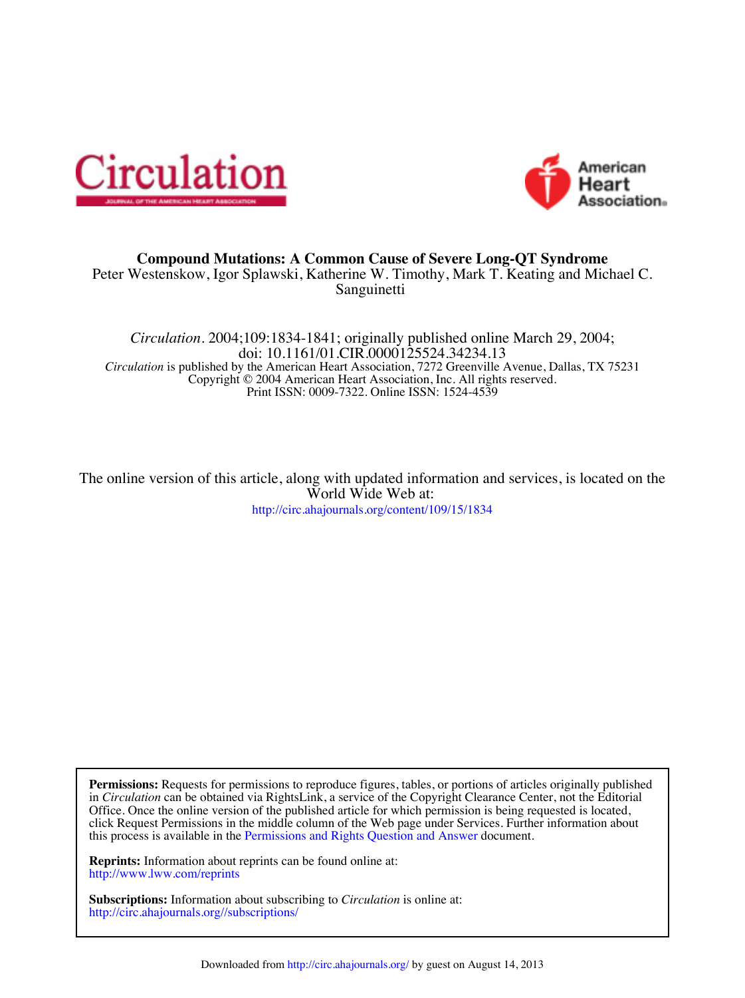



## **Compound Mutations: A Common Cause of Severe Long-QT Syndrome**

Sanguinetti Peter Westenskow, Igor Splawski, Katherine W. Timothy, Mark T. Keating and Michael C.

Print ISSN: 0009-7322. Online ISSN: 1524-4539 Copyright © 2004 American Heart Association, Inc. All rights reserved. *Circulation* is published by the American Heart Association, 7272 Greenville Avenue, Dallas, TX 75231 doi: 10.1161/01.CIR.0000125524.34234.13 *Circulation.* 2004;109:1834-1841; originally published online March 29, 2004;

http://circ.ahajournals.org/content/109/15/1834 World Wide Web at: The online version of this article, along with updated information and services, is located on the

this process is available in the Permissions and Rights Question and Answer document. click Request Permissions in the middle column of the Web page under Services. Further information about Office. Once the online version of the published article for which permission is being requested is located, in *Circulation* can be obtained via RightsLink, a service of the Copyright Clearance Center, not the Editorial **Permissions:** Requests for permissions to reproduce figures, tables, or portions of articles originally published

http://www.lww.com/reprints **Reprints:** Information about reprints can be found online at:

http://circ.ahajournals.org//subscriptions/ **Subscriptions:** Information about subscribing to *Circulation* is online at: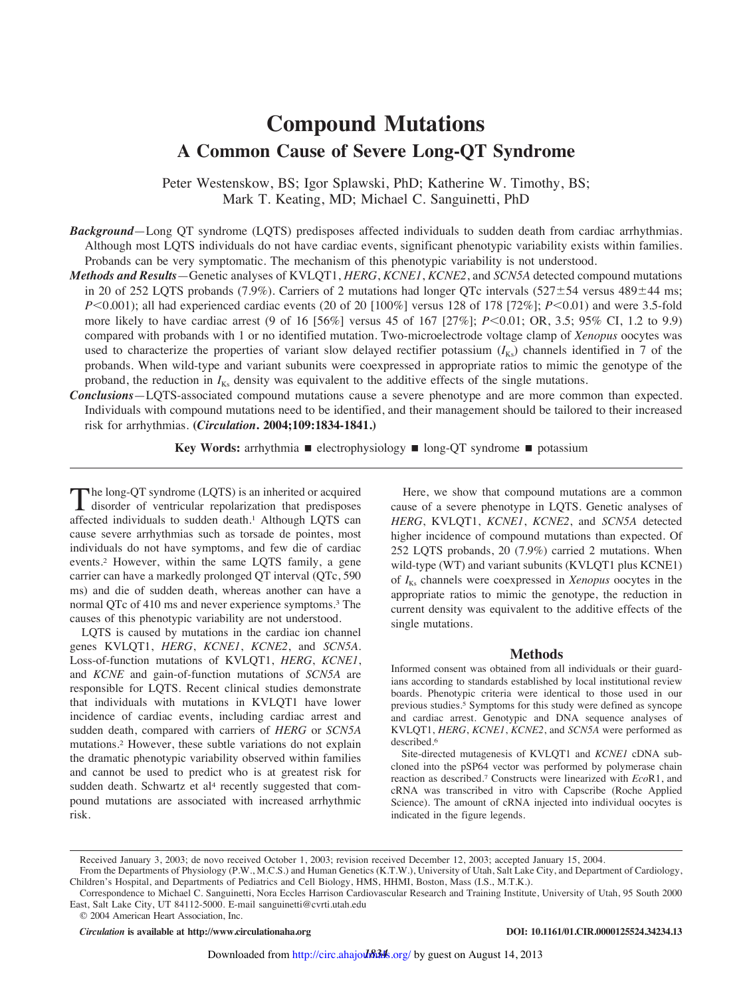# **Compound Mutations A Common Cause of Severe Long-QT Syndrome**

Peter Westenskow, BS; Igor Splawski, PhD; Katherine W. Timothy, BS; Mark T. Keating, MD; Michael C. Sanguinetti, PhD

*Background*—Long QT syndrome (LQTS) predisposes affected individuals to sudden death from cardiac arrhythmias. Although most LQTS individuals do not have cardiac events, significant phenotypic variability exists within families. Probands can be very symptomatic. The mechanism of this phenotypic variability is not understood.

- *Methods and Results*—Genetic analyses of KVLQT1, *HERG*, *KCNE1*, *KCNE2*, and *SCN5A* detected compound mutations in 20 of 252 LQTS probands (7.9%). Carriers of 2 mutations had longer QTc intervals (527 $\pm$ 54 versus 489 $\pm$ 44 ms; *P*<0.001); all had experienced cardiac events (20 of 20 [100%] versus 128 of 178 [72%]; *P*<0.01) and were 3.5-fold more likely to have cardiac arrest (9 of 16 [56%] versus 45 of 167 [27%]; *P*<0.01; OR, 3.5; 95% CI, 1.2 to 9.9) compared with probands with 1 or no identified mutation. Two-microelectrode voltage clamp of *Xenopus* oocytes was used to characterize the properties of variant slow delayed rectifier potassium  $(I_{Ks})$  channels identified in 7 of the probands. When wild-type and variant subunits were coexpressed in appropriate ratios to mimic the genotype of the proband, the reduction in  $I_{Ks}$  density was equivalent to the additive effects of the single mutations.
- *Conclusions*—LQTS-associated compound mutations cause a severe phenotype and are more common than expected. Individuals with compound mutations need to be identified, and their management should be tailored to their increased risk for arrhythmias. **(***Circulation***. 2004;109:1834-1841.)**

**Key Words:** arrhythmia **E** electrophysiology **E** long-QT syndrome **E** potassium

The long-QT syndrome (LQTS) is an inherited or acquired<br>disorder of ventricular repolarization that predisposes disorder of ventricular repolarization that predisposes affected individuals to sudden death.<sup>1</sup> Although LQTS can cause severe arrhythmias such as torsade de pointes, most individuals do not have symptoms, and few die of cardiac events.<sup>2</sup> However, within the same LQTS family, a gene carrier can have a markedly prolonged QT interval (QTc, 590 ms) and die of sudden death, whereas another can have a normal QTc of 410 ms and never experience symptoms.<sup>3</sup> The causes of this phenotypic variability are not understood.

LQTS is caused by mutations in the cardiac ion channel genes KVLQT1, *HERG*, *KCNE1*, *KCNE2*, and *SCN5A.* Loss-of-function mutations of KVLQT1, *HERG*, *KCNE1*, and *KCNE* and gain-of-function mutations of *SCN5A* are responsible for LQTS. Recent clinical studies demonstrate that individuals with mutations in KVLQT1 have lower incidence of cardiac events, including cardiac arrest and sudden death, compared with carriers of *HERG* or *SCN5A* mutations.<sup>2</sup> However, these subtle variations do not explain the dramatic phenotypic variability observed within families and cannot be used to predict who is at greatest risk for sudden death. Schwartz et al<sup>4</sup> recently suggested that compound mutations are associated with increased arrhythmic risk.

Here, we show that compound mutations are a common cause of a severe phenotype in LQTS. Genetic analyses of *HERG*, KVLQT1, *KCNE1*, *KCNE2*, and *SCN5A* detected higher incidence of compound mutations than expected. Of 252 LQTS probands, 20 (7.9%) carried 2 mutations. When wild-type (WT) and variant subunits (KVLQT1 plus KCNE1) of *I*Ks channels were coexpressed in *Xenopus* oocytes in the appropriate ratios to mimic the genotype, the reduction in current density was equivalent to the additive effects of the single mutations.

#### **Methods**

Informed consent was obtained from all individuals or their guardians according to standards established by local institutional review boards. Phenotypic criteria were identical to those used in our previous studies.<sup>5</sup> Symptoms for this study were defined as syncope and cardiac arrest. Genotypic and DNA sequence analyses of KVLQT1, *HERG*, *KCNE1*, *KCNE2*, and *SCN5A* were performed as described.<sup>6</sup>

Site-directed mutagenesis of KVLQT1 and *KCNE1* cDNA subcloned into the pSP64 vector was performed by polymerase chain reaction as described.<sup>7</sup> Constructs were linearized with *Eco*R1, and cRNA was transcribed in vitro with Capscribe (Roche Applied Science). The amount of cRNA injected into individual oocytes is indicated in the figure legends.

*Circulation* **is available at http://www.circulationaha.org DOI: 10.1161/01.CIR.0000125524.34234.13**

Received January 3, 2003; de novo received October 1, 2003; revision received December 12, 2003; accepted January 15, 2004.

From the Departments of Physiology (P.W., M.C.S.) and Human Genetics (K.T.W.), University of Utah, Salt Lake City, and Department of Cardiology, Children's Hospital, and Departments of Pediatrics and Cell Biology, HMS, HHMI, Boston, Mass (I.S., M.T.K.).

Correspondence to Michael C. Sanguinetti, Nora Eccles Harrison Cardiovascular Research and Training Institute, University of Utah, 95 South 2000 East, Salt Lake City, UT 84112-5000. E-mail sanguinetti@cvrti.utah.edu

<sup>© 2004</sup> American Heart Association, Inc.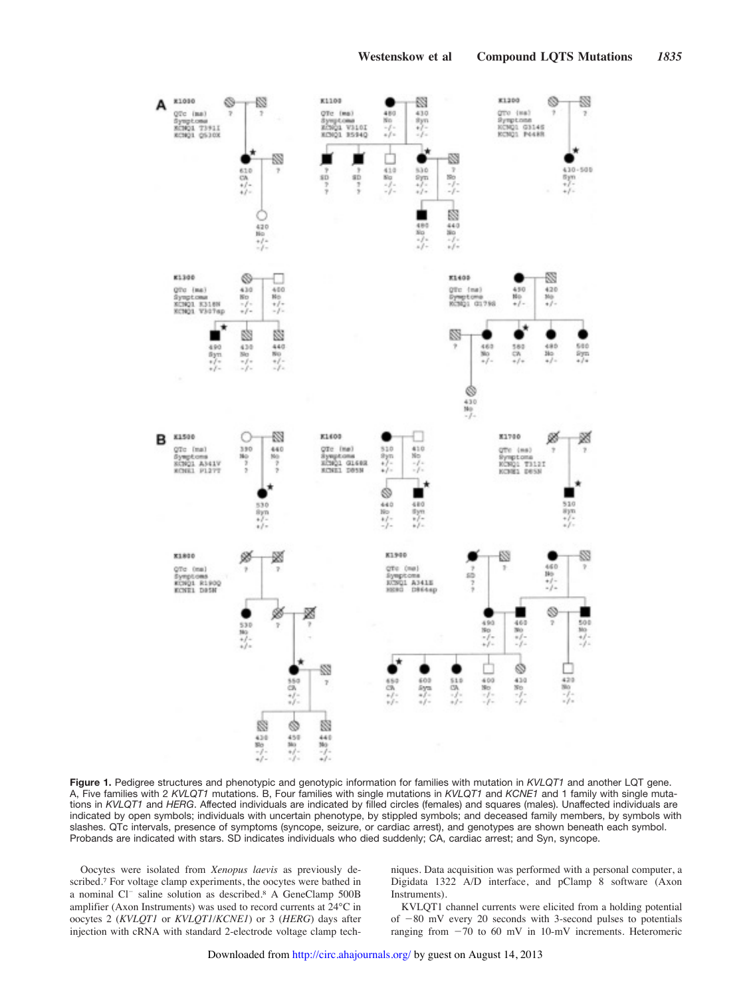

**Figure 1.** Pedigree structures and phenotypic and genotypic information for families with mutation in *KVLQT1* and another LQT gene. A, Five families with 2 *KVLQT1* mutations. B, Four families with single mutations in *KVLQT1* and *KCNE1* and 1 family with single mutations in *KVLQT1* and *HERG*. Affected individuals are indicated by filled circles (females) and squares (males). Unaffected individuals are indicated by open symbols; individuals with uncertain phenotype, by stippled symbols; and deceased family members, by symbols with slashes. QTc intervals, presence of symptoms (syncope, seizure, or cardiac arrest), and genotypes are shown beneath each symbol. Probands are indicated with stars. SD indicates individuals who died suddenly; CA, cardiac arrest; and Syn, syncope.

Oocytes were isolated from *Xenopus laevis* as previously described.<sup>7</sup> For voltage clamp experiments, the oocytes were bathed in a nominal Cl<sup>-</sup> saline solution as described.<sup>8</sup> A GeneClamp 500B amplifier (Axon Instruments) was used to record currents at 24°C in oocytes 2 (*KVLQT1* or *KVLQT1/KCNE1*) or 3 (*HERG*) days after injection with cRNA with standard 2-electrode voltage clamp techniques. Data acquisition was performed with a personal computer, a Digidata 1322 A/D interface, and pClamp 8 software (Axon Instruments).

KVLQT1 channel currents were elicited from a holding potential of  $-80$  mV every 20 seconds with 3-second pulses to potentials ranging from  $-70$  to 60 mV in 10-mV increments. Heteromeric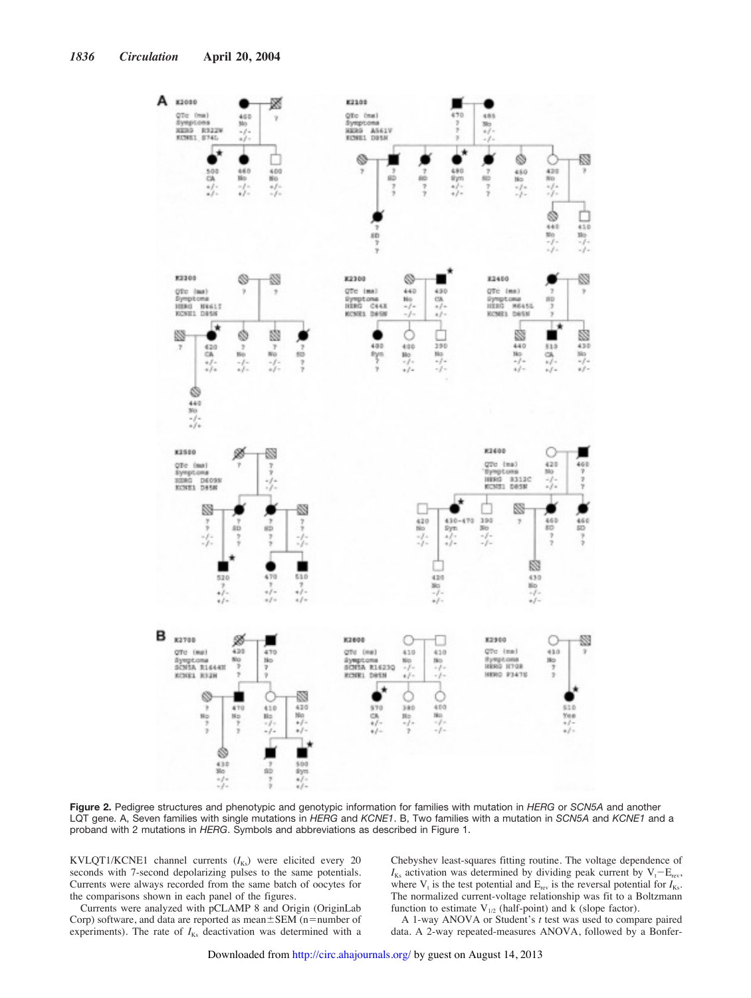

**Figure 2.** Pedigree structures and phenotypic and genotypic information for families with mutation in *HERG* or *SCN5A* and another LQT gene. A, Seven families with single mutations in *HERG* and *KCNE1*. B, Two families with a mutation in *SCN5A* and *KCNE1* and a proband with 2 mutations in *HERG*. Symbols and abbreviations as described in Figure 1.

KVLQT1/KCNE1 channel currents ( $I_{Ks}$ ) were elicited every 20 seconds with 7-second depolarizing pulses to the same potentials. Currents were always recorded from the same batch of oocytes for the comparisons shown in each panel of the figures.

Currents were analyzed with pCLAMP 8 and Origin (OriginLab Corp) software, and data are reported as mean $\pm$ SEM (n=number of experiments). The rate of  $I_{Ks}$  deactivation was determined with a Chebyshev least-squares fitting routine. The voltage dependence of  $I_{Ks}$  activation was determined by dividing peak current by  $V_t - E_{rev}$ , where  $V_t$  is the test potential and  $E_{rev}$  is the reversal potential for  $I_{Ks}$ . The normalized current-voltage relationship was fit to a Boltzmann function to estimate  $V_{1/2}$  (half-point) and k (slope factor).

A 1-way ANOVA or Student's *t* test was used to compare paired data. A 2-way repeated-measures ANOVA, followed by a Bonfer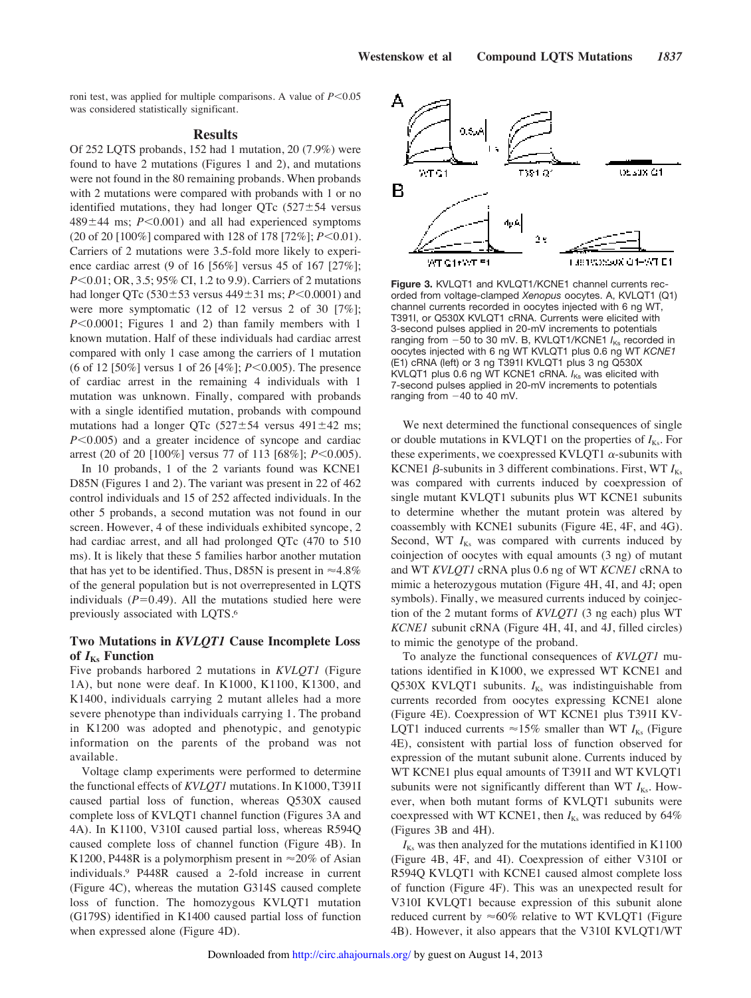roni test, was applied for multiple comparisons. A value of  $P < 0.05$ was considered statistically significant.

#### **Results**

Of 252 LQTS probands, 152 had 1 mutation, 20 (7.9%) were found to have 2 mutations (Figures 1 and 2), and mutations were not found in the 80 remaining probands. When probands with 2 mutations were compared with probands with 1 or no identified mutations, they had longer QTc  $(527 \pm 54$  versus  $489 \pm 44$  ms;  $P < 0.001$ ) and all had experienced symptoms (20 of 20 [100%] compared with 128 of 178 [72%];  $P < 0.01$ ). Carriers of 2 mutations were 3.5-fold more likely to experience cardiac arrest (9 of 16 [56%] versus 45 of 167 [27%]; *P*<0.01; OR, 3.5; 95% CI, 1.2 to 9.9). Carriers of 2 mutations had longer QTc (530 $\pm$ 53 versus 449 $\pm$ 31 ms; *P*<0.0001) and were more symptomatic (12 of 12 versus 2 of 30 [7%];  $P \le 0.0001$ ; Figures 1 and 2) than family members with 1 known mutation. Half of these individuals had cardiac arrest compared with only 1 case among the carriers of 1 mutation (6 of 12 [50%] versus 1 of 26 [4%]; *P*<0.005). The presence of cardiac arrest in the remaining 4 individuals with 1 mutation was unknown. Finally, compared with probands with a single identified mutation, probands with compound mutations had a longer QTc (527 $\pm$ 54 versus 491 $\pm$ 42 ms;  $P<0.005$ ) and a greater incidence of syncope and cardiac arrest (20 of 20 [100%] versus 77 of 113 [68%]; *P*<0.005).

In 10 probands, 1 of the 2 variants found was KCNE1 D85N (Figures 1 and 2). The variant was present in 22 of 462 control individuals and 15 of 252 affected individuals. In the other 5 probands, a second mutation was not found in our screen. However, 4 of these individuals exhibited syncope, 2 had cardiac arrest, and all had prolonged QTc (470 to 510 ms). It is likely that these 5 families harbor another mutation that has yet to be identified. Thus, D85N is present in  $\approx 4.8\%$ of the general population but is not overrepresented in LQTS individuals  $(P=0.49)$ . All the mutations studied here were previously associated with LQTS.<sup>6</sup>

## **Two Mutations in** *KVLQT1* **Cause Incomplete Loss of** *I***Ks Function**

Five probands harbored 2 mutations in *KVLQT1* (Figure 1A), but none were deaf. In K1000, K1100, K1300, and K1400, individuals carrying 2 mutant alleles had a more severe phenotype than individuals carrying 1. The proband in K1200 was adopted and phenotypic, and genotypic information on the parents of the proband was not available.

Voltage clamp experiments were performed to determine the functional effects of *KVLQT1* mutations. In K1000, T391I caused partial loss of function, whereas Q530X caused complete loss of KVLQT1 channel function (Figures 3A and 4A). In K1100, V310I caused partial loss, whereas R594Q caused complete loss of channel function (Figure 4B). In K1200, P448R is a polymorphism present in  $\approx$ 20% of Asian individuals.<sup>9</sup> P448R caused a 2-fold increase in current (Figure 4C), whereas the mutation G314S caused complete loss of function. The homozygous KVLQT1 mutation (G179S) identified in K1400 caused partial loss of function when expressed alone (Figure 4D).



Figure 3. KVLQT1 and KVLQT1/KCNE1 channel currents recorded from voltage-clamped *Xenopus* oocytes. A, KVLQT1 (Q1) channel currents recorded in oocytes injected with 6 ng WT, T391I, or Q530X KVLQT1 cRNA. Currents were elicited with 3-second pulses applied in 20-mV increments to potentials ranging from -50 to 30 mV. B, KVLQT1/KCNE1  $I_{\text{Ks}}$  recorded in oocytes injected with 6 ng WT KVLQT1 plus 0.6 ng WT *KCNE1* (E1) cRNA (left) or 3 ng T391I KVLQT1 plus 3 ng Q530X KVLQT1 plus 0.6 ng WT KCNE1 cRNA. *I<sub>Ks</sub>* was elicited with 7-second pulses applied in 20-mV increments to potentials ranging from  $-40$  to 40 mV.

We next determined the functional consequences of single or double mutations in KVLQT1 on the properties of  $I_{Ks}$ . For these experiments, we coexpressed KVLQT1  $\alpha$ -subunits with KCNE1  $\beta$ -subunits in 3 different combinations. First, WT  $I_{Ks}$ was compared with currents induced by coexpression of single mutant KVLQT1 subunits plus WT KCNE1 subunits to determine whether the mutant protein was altered by coassembly with KCNE1 subunits (Figure 4E, 4F, and 4G). Second, WT  $I_{Ks}$  was compared with currents induced by coinjection of oocytes with equal amounts (3 ng) of mutant and WT *KVLQT1* cRNA plus 0.6 ng of WT *KCNE1* cRNA to mimic a heterozygous mutation (Figure 4H, 4I, and 4J; open symbols). Finally, we measured currents induced by coinjection of the 2 mutant forms of *KVLQT1* (3 ng each) plus WT *KCNE1* subunit cRNA (Figure 4H, 4I, and 4J, filled circles) to mimic the genotype of the proband.

To analyze the functional consequences of *KVLQT1* mutations identified in K1000, we expressed WT KCNE1 and Q530X KVLQT1 subunits. *I*<sub>Ks</sub> was indistinguishable from currents recorded from oocytes expressing KCNE1 alone (Figure 4E). Coexpression of WT KCNE1 plus T391I KV-LQT1 induced currents  $\approx$ 15% smaller than WT  $I_{Ks}$  (Figure 4E), consistent with partial loss of function observed for expression of the mutant subunit alone. Currents induced by WT KCNE1 plus equal amounts of T391I and WT KVLQT1 subunits were not significantly different than WT  $I_{Ks}$ . However, when both mutant forms of KVLQT1 subunits were coexpressed with WT KCNE1, then  $I_{Ks}$  was reduced by 64% (Figures 3B and 4H).

 $I_{Ks}$  was then analyzed for the mutations identified in K1100 (Figure 4B, 4F, and 4I). Coexpression of either V310I or R594Q KVLQT1 with KCNE1 caused almost complete loss of function (Figure 4F). This was an unexpected result for V310I KVLQT1 because expression of this subunit alone reduced current by  $\approx 60\%$  relative to WT KVLQT1 (Figure 4B). However, it also appears that the V310I KVLQT1/WT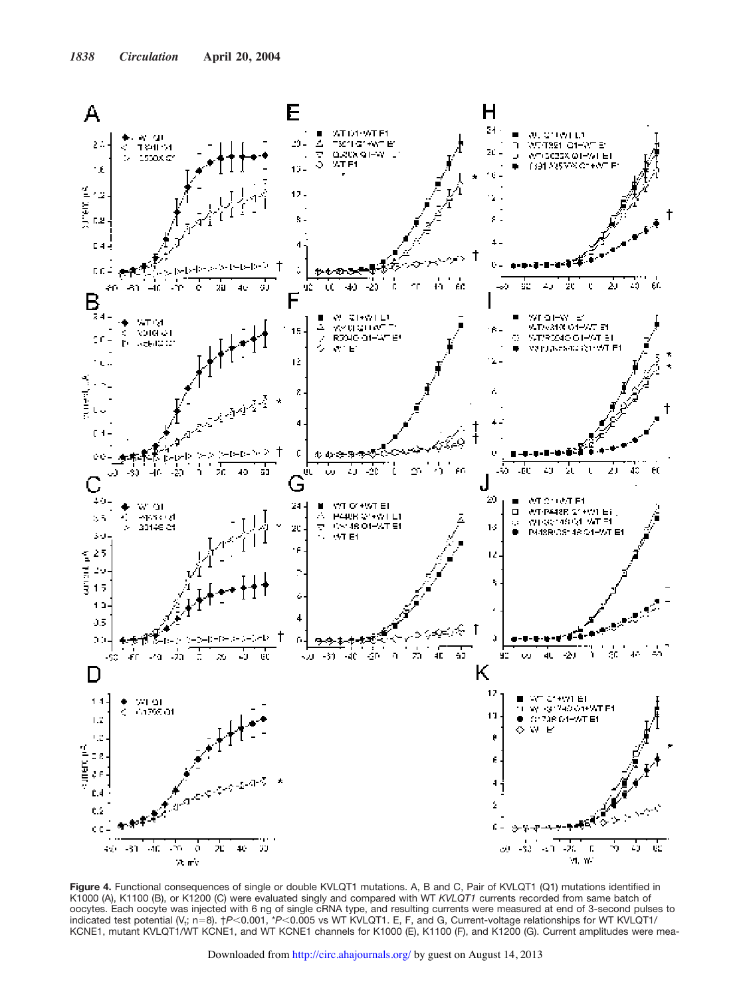

**Figure 4.** Functional consequences of single or double KVLQT1 mutations. A, B and C, Pair of KVLQT1 (Q1) mutations identified in K1000 (A), K1100 (B), or K1200 (C) were evaluated singly and compared with WT *KVLQT1* currents recorded from same batch of oocytes. Each oocyte was injected with 6 ng of single cRNA type, and resulting currents were measured at end of 3-second pulses to indicated test potential (V<sub>t</sub>; n=8). †*P*<0.001, \**P*<0.005 vs WT KVLQT1. E, F, and G, Current-voltage relationships for WT KVLQT1/ KCNE1, mutant KVLQT1/WT KCNE1, and WT KCNE1 channels for K1000 (E), K1100 (F), and K1200 (G). Current amplitudes were mea-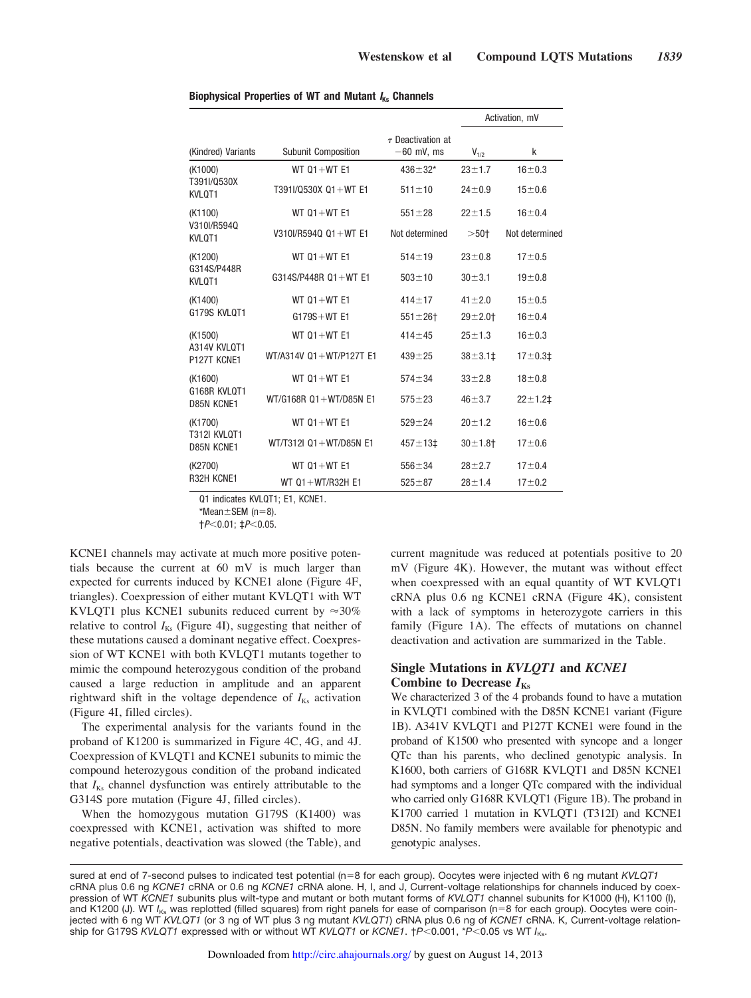|                                              |                              |                                        | Activation, mV |                |
|----------------------------------------------|------------------------------|----------------------------------------|----------------|----------------|
| (Kindred) Variants                           | <b>Subunit Composition</b>   | $\tau$ Deactivation at<br>$-60$ mV, ms | $V_{1/2}$      | k              |
| (K1000)<br>T391I/Q530X<br>KVL0T1             | WT $01+WT E1$                | $436 \pm 32*$                          | $23 + 1.7$     | $16 + 0.3$     |
|                                              | T391I/Q530X Q1+WT E1         | $511 \pm 10$                           | $24 + 0.9$     | $15 + 0.6$     |
| (K1100)<br>V310I/R5940<br>KVLOT1             | WT $01+WT E1$                | $551 \pm 28$                           | $22 + 1.5$     | $16 + 0.4$     |
|                                              | V310I/R594Q Q1+WT E1         | Not determined                         | $>50+$         | Not determined |
| (K1200)<br>G314S/P448R<br>KVLQT1             | WT $01+WT E1$                | $514 \pm 19$                           | $23 + 0.8$     | $17 + 0.5$     |
|                                              | $G314S/P448R$ Q1 + WT E1     | $503 + 10$                             | $30 + 3.1$     | $19 + 0.8$     |
| (K1400)<br>G179S KVLOT1                      | WT $01+WT E1$                | $414 + 17$                             | $41 + 2.0$     | $15 + 0.5$     |
|                                              | $G179S + WT$ E1              | $551 \pm 26$                           | $29 + 2.01$    | $16 + 0.4$     |
| (K1500)<br>A314V KVLOT1<br>P127T KCNE1       | $WT 01 + WT E1$              | $414 + 45$                             | $25 + 1.3$     | $16 + 0.3$     |
|                                              | WT/A314V 01+WT/P127T E1      | $439 + 25$                             | $38 + 3.11$    | $17 + 0.31$    |
| (K1600)<br>G168R KVLOT1<br>D85N KCNE1        | WT $01+WT E1$                | $574 + 34$                             | $33 + 2.8$     | $18 + 0.8$     |
|                                              | $WT/G168R$ $Q1 + WT/D85N$ E1 | $575 + 23$                             | $46 + 3.7$     | $22 + 1.2$     |
| (K1700)<br><b>T312I KVLOT1</b><br>D85N KCNE1 | WT $01+WT E1$                | $529 + 24$                             | $20 + 1.2$     | $16 + 0.6$     |
|                                              | WT/T312L01+WT/D85N E1        | $457 + 131$                            | $30 + 1.8 +$   | $17 + 0.6$     |
| (K2700)<br>R32H KCNE1                        | WT $01+WT E1$                | $556 + 34$                             | $28 + 2.7$     | $17 + 0.4$     |
|                                              | WT 01+WT/R32H E1             | $525 + 87$                             | $28 + 1.4$     | $17 + 0.2$     |

#### **Biophysical Properties of WT and Mutant <sup>I</sup>Ks Channels**

Q1 indicates KVLQT1; E1, KCNE1.

 $*$ Mean $\pm$ SEM (n=8).

 $\dagger P< 0.01$ ;  $\ddagger P< 0.05$ .

KCNE1 channels may activate at much more positive potentials because the current at 60 mV is much larger than expected for currents induced by KCNE1 alone (Figure 4F, triangles). Coexpression of either mutant KVLQT1 with WT KVLQT1 plus KCNE1 subunits reduced current by  $\approx 30\%$ relative to control  $I_{Ks}$  (Figure 4I), suggesting that neither of these mutations caused a dominant negative effect. Coexpression of WT KCNE1 with both KVLQT1 mutants together to mimic the compound heterozygous condition of the proband caused a large reduction in amplitude and an apparent rightward shift in the voltage dependence of  $I_{Ks}$  activation (Figure 4I, filled circles).

The experimental analysis for the variants found in the proband of K1200 is summarized in Figure 4C, 4G, and 4J. Coexpression of KVLQT1 and KCNE1 subunits to mimic the compound heterozygous condition of the proband indicated that  $I_{Ks}$  channel dysfunction was entirely attributable to the G314S pore mutation (Figure 4J, filled circles).

When the homozygous mutation G179S (K1400) was coexpressed with KCNE1, activation was shifted to more negative potentials, deactivation was slowed (the Table), and current magnitude was reduced at potentials positive to 20 mV (Figure 4K). However, the mutant was without effect when coexpressed with an equal quantity of WT KVLQT1 cRNA plus 0.6 ng KCNE1 cRNA (Figure 4K), consistent with a lack of symptoms in heterozygote carriers in this family (Figure 1A). The effects of mutations on channel deactivation and activation are summarized in the Table.

## **Single Mutations in** *KVLQT1* **and** *KCNE1* Combine to Decrease  $I_{Ks}$

We characterized 3 of the 4 probands found to have a mutation in KVLQT1 combined with the D85N KCNE1 variant (Figure 1B). A341V KVLQT1 and P127T KCNE1 were found in the proband of K1500 who presented with syncope and a longer QTc than his parents, who declined genotypic analysis. In K1600, both carriers of G168R KVLQT1 and D85N KCNE1 had symptoms and a longer QTc compared with the individual who carried only G168R KVLQT1 (Figure 1B). The proband in K1700 carried 1 mutation in KVLQT1 (T312I) and KCNE1 D85N. No family members were available for phenotypic and genotypic analyses.

sured at end of 7-second pulses to indicated test potential (n=8 for each group). Oocytes were injected with 6 ng mutant *KVLQT1* cRNA plus 0.6 ng *KCNE1* cRNA or 0.6 ng *KCNE1* cRNA alone. H, I, and J, Current-voltage relationships for channels induced by coexpression of WT *KCNE1* subunits plus wilt-type and mutant or both mutant forms of *KVLQT1* channel subunits for K1000 (H), K1100 (I), and K1200 (J). WT *I*<sub>Ks</sub> was replotted (filled squares) from right panels for ease of comparison (n=8 for each group). Oocytes were coinjected with 6 ng WT *KVLQT1* (or 3 ng of WT plus 3 ng mutant *KVLQT1*) cRNA plus 0.6 ng of *KCNE1* cRNA. K, Current-voltage relationship for G179S *KVLQT1* expressed with or without WT *KVLQT1* or *KCNE1*. †*P*"0.001, \**P*"0.05 vs WT *I*Ks.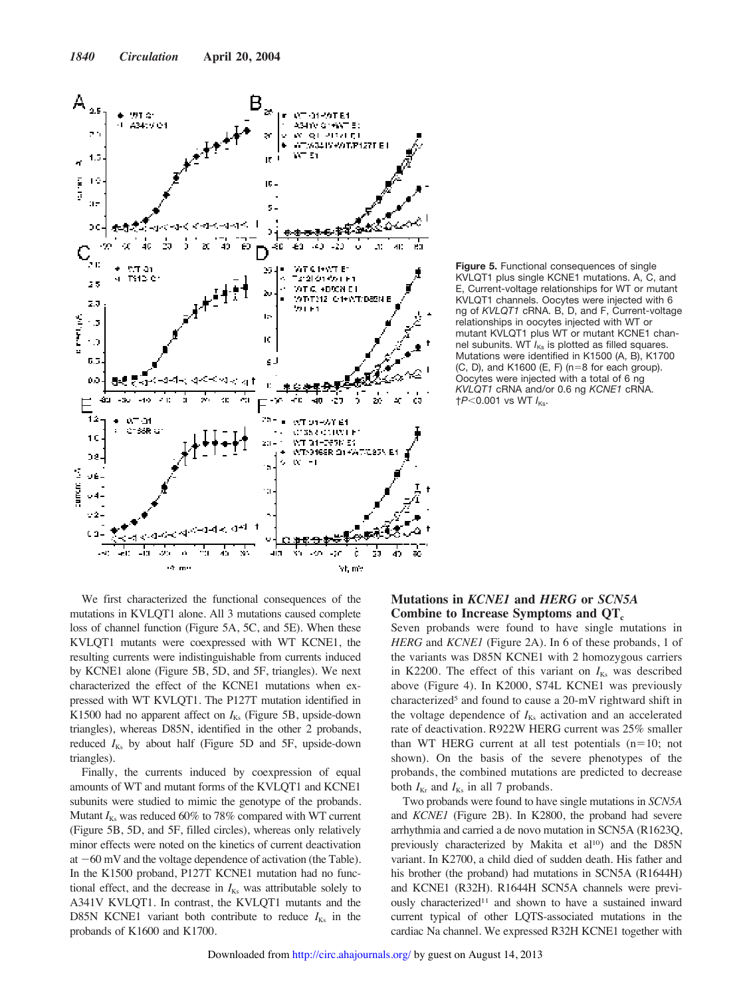

**Figure 5.** Functional consequences of single KVLQT1 plus single KCNE1 mutations. A, C, and E, Current-voltage relationships for WT or mutant KVLQT1 channels. Oocytes were injected with 6 ng of *KVLQT1* cRNA. B, D, and F, Current-voltage relationships in oocytes injected with WT or mutant KVLQT1 plus WT or mutant KCNE1 channel subunits. WT  $I_{\text{Ks}}$  is plotted as filled squares. Mutations were identified in K1500 (A, B), K1700  $(C, D)$ , and K1600  $(E, F)$  (n=8 for each group). Oocytes were injected with a total of 6 ng *KVLQT1* cRNA and/or 0.6 ng *KCNE1* cRNA.  $\uparrow$ *P*<0.001 vs WT  $I_{\text{Ks}}$ .

We first characterized the functional consequences of the mutations in KVLQT1 alone. All 3 mutations caused complete loss of channel function (Figure 5A, 5C, and 5E). When these KVLQT1 mutants were coexpressed with WT KCNE1, the resulting currents were indistinguishable from currents induced by KCNE1 alone (Figure 5B, 5D, and 5F, triangles). We next characterized the effect of the KCNE1 mutations when expressed with WT KVLQT1. The P127T mutation identified in K1500 had no apparent affect on  $I_{Ks}$  (Figure 5B, upside-down triangles), whereas D85N, identified in the other 2 probands, reduced  $I_{Ks}$  by about half (Figure 5D and 5F, upside-down triangles).

Finally, the currents induced by coexpression of equal amounts of WT and mutant forms of the KVLQT1 and KCNE1 subunits were studied to mimic the genotype of the probands. Mutant  $I_{Ks}$  was reduced 60% to 78% compared with WT current (Figure 5B, 5D, and 5F, filled circles), whereas only relatively minor effects were noted on the kinetics of current deactivation at  $-60$  mV and the voltage dependence of activation (the Table). In the K1500 proband, P127T KCNE1 mutation had no functional effect, and the decrease in  $I_{Ks}$  was attributable solely to A341V KVLQT1. In contrast, the KVLQT1 mutants and the D85N KCNE1 variant both contribute to reduce  $I_{Ks}$  in the probands of K1600 and K1700.

## **Mutations in** *KCNE1* **and** *HERG* **or** *SCN5A* **Combine to Increase Symptoms and QT<sup>c</sup>**

Seven probands were found to have single mutations in *HERG* and *KCNE1* (Figure 2A). In 6 of these probands, 1 of the variants was D85N KCNE1 with 2 homozygous carriers in K2200. The effect of this variant on  $I_{Ks}$  was described above (Figure 4). In K2000, S74L KCNE1 was previously characterized<sup>5</sup> and found to cause a 20-mV rightward shift in the voltage dependence of  $I_{Ks}$  activation and an accelerated rate of deactivation. R922W HERG current was 25% smaller than WT HERG current at all test potentials  $(n=10;$  not shown). On the basis of the severe phenotypes of the probands, the combined mutations are predicted to decrease both  $I_{K_r}$  and  $I_{K_s}$  in all 7 probands.

Two probands were found to have single mutations in *SCN5A* and *KCNE1* (Figure 2B). In K2800, the proband had severe arrhythmia and carried a de novo mutation in SCN5A (R1623Q, previously characterized by Makita et al<sup>10</sup>) and the D85N variant. In K2700, a child died of sudden death. His father and his brother (the proband) had mutations in SCN5A (R1644H) and KCNE1 (R32H). R1644H SCN5A channels were previously characterized<sup>11</sup> and shown to have a sustained inward current typical of other LQTS-associated mutations in the cardiac Na channel. We expressed R32H KCNE1 together with